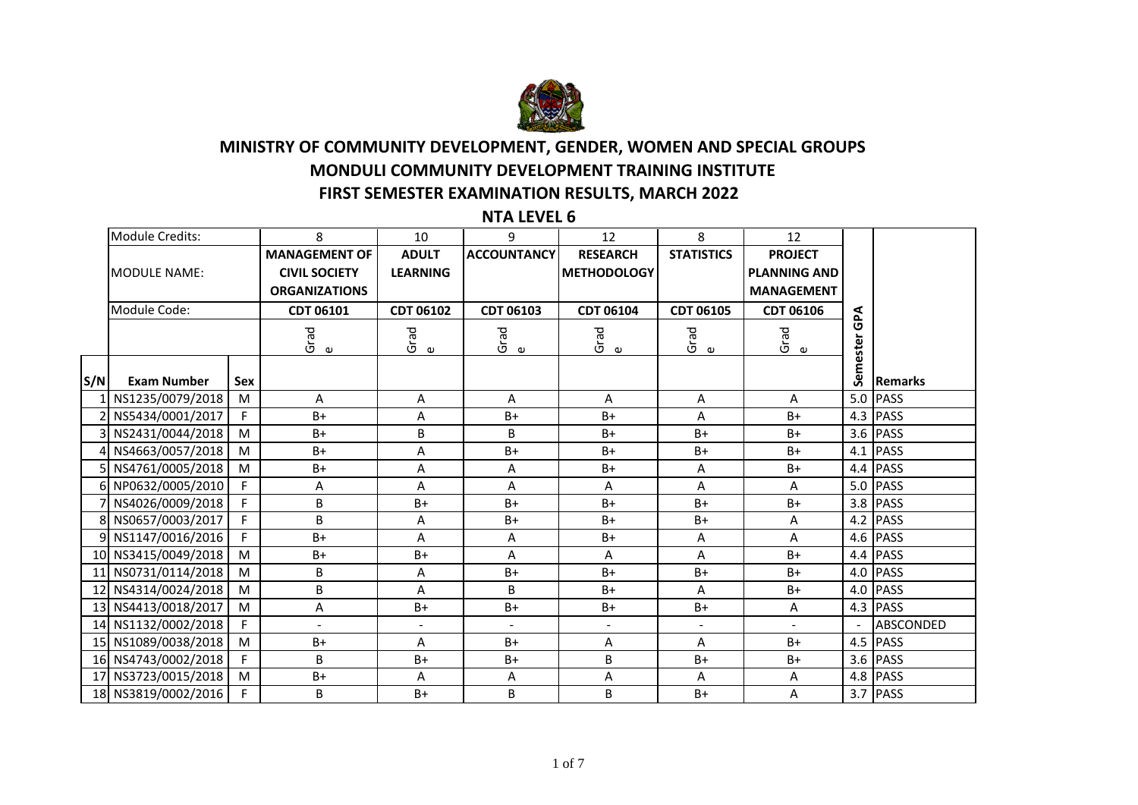

## **MINISTRY OF COMMUNITY DEVELOPMENT, GENDER, WOMEN AND SPECIAL GROUPS MONDULI COMMUNITY DEVELOPMENT TRAINING INSTITUTE FIRST SEMESTER EXAMINATION RESULTS, MARCH 2022**

**NTA LEVEL 6**

|     | Module Credits:     |            | 8                        | 10                       | 9                  | 12                 | 8                 | 12                       |       |                |
|-----|---------------------|------------|--------------------------|--------------------------|--------------------|--------------------|-------------------|--------------------------|-------|----------------|
|     |                     |            | <b>MANAGEMENT OF</b>     | <b>ADULT</b>             | <b>ACCOUNTANCY</b> | <b>RESEARCH</b>    | <b>STATISTICS</b> | <b>PROJECT</b>           |       |                |
|     | <b>MODULE NAME:</b> |            | <b>CIVIL SOCIETY</b>     | <b>LEARNING</b>          |                    | <b>METHODOLOGY</b> |                   | <b>PLANNING AND</b>      |       |                |
|     |                     |            | <b>ORGANIZATIONS</b>     |                          |                    |                    |                   | <b>MANAGEMENT</b>        |       |                |
|     | Module Code:        |            | <b>CDT 06101</b>         | <b>CDT 06102</b>         | <b>CDT 06103</b>   | CDT 06104          | <b>CDT 06105</b>  | <b>CDT 06106</b>         | GP∆   |                |
|     |                     |            |                          |                          |                    |                    |                   |                          |       |                |
|     |                     |            | Grad<br>$\mathbf \omega$ | Grad<br>$\mathbf \omega$ | Grad<br>ഄ          | ကြ<br>မြ           | Grad<br>ഄ         | Grad<br>$\mathbf \omega$ | ester |                |
|     |                     |            |                          |                          |                    |                    |                   |                          | ē۵    |                |
| S/N | <b>Exam Number</b>  | <b>Sex</b> |                          |                          |                    |                    |                   |                          | Ğ     | <b>Remarks</b> |
|     | 1 NS1235/0079/2018  | M          | A                        | A                        | A                  | A                  | A                 | A                        | 5.0   | <b>PASS</b>    |
|     | 2 NS5434/0001/2017  | F.         | $B+$                     | A                        | B+                 | $B+$               | A                 | $B+$                     | 4.3   | <b>PASS</b>    |
|     | 3 NS2431/0044/2018  | M          | $B+$                     | B                        | B                  | $B+$               | $B+$              | $B+$                     | 3.6   | <b>PASS</b>    |
|     | 4 NS4663/0057/2018  | M          | $B+$                     | А                        | $B+$               | $B+$               | B+                | $B+$                     |       | $4.1$ PASS     |
|     | 5 NS4761/0005/2018  | M          | $B+$                     | A                        | Α                  | $B+$               | A                 | $B+$                     |       | 4.4 PASS       |
|     | 6 NP0632/0005/2010  | F.         | Α                        | A                        | Α                  | А                  | A                 | A                        | 5.0   | <b>PASS</b>    |
|     | 7 NS4026/0009/2018  |            | B                        | B+                       | $B+$               | $B+$               | $B+$              | $B+$                     |       | 3.8 PASS       |
|     | 8 NS0657/0003/2017  | F.         | B                        | Α                        | $B+$               | $B+$               | B+                | Α                        |       | 4.2 PASS       |
|     | 9 NS1147/0016/2016  | F.         | $B+$                     | A                        | Α                  | $B+$               | A                 | A                        |       | 4.6 PASS       |
|     | 10 NS3415/0049/2018 | M          | $B+$                     | B+                       | A                  | А                  | A                 | $B+$                     |       | 4.4 PASS       |
|     | 11 NS0731/0114/2018 | M          | В                        | А                        | $B+$               | $B+$               | $B+$              | $B+$                     | 4.0   | <b>PASS</b>    |
|     | 12 NS4314/0024/2018 | M          | B                        | A                        | B                  | $B+$               | A                 | $B+$                     |       | 4.0 PASS       |
|     | 13 NS4413/0018/2017 | M          | Α                        | $B+$                     | $B+$               | $B+$               | $B+$              | Α                        |       | $4.3$ PASS     |
|     | 14 NS1132/0002/2018 | F.         |                          | $\blacksquare$           |                    | $\blacksquare$     |                   |                          |       | ABSCONDED      |
|     | 15 NS1089/0038/2018 | M          | $B+$                     | А                        | $B+$               | Α                  | Α                 | $B+$                     |       | 4.5 PASS       |
|     | 16 NS4743/0002/2018 | F.         | B                        | B+                       | $B+$               | B                  | $B+$              | $B+$                     | 3.6   | <b>PASS</b>    |
|     | 17 NS3723/0015/2018 | M          | $B+$                     | Α                        | Α                  | Α                  | A                 | Α                        |       | 4.8 PASS       |
|     | 18 NS3819/0002/2016 | F.         | B                        | B+                       | B                  | B                  | B+                | A                        |       | $3.7$ PASS     |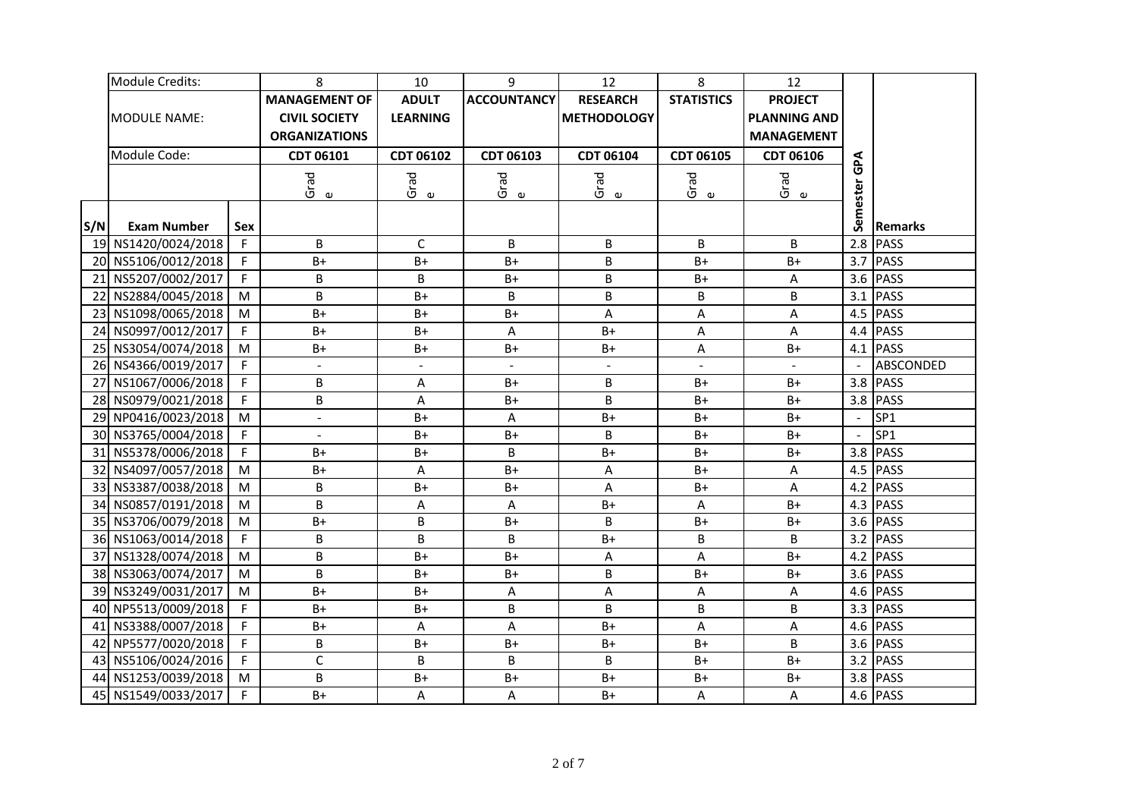|     | Module Credits:     |     | 8                    | 10               | 9                  | 12                 | 8                 | 12                  |          |                  |
|-----|---------------------|-----|----------------------|------------------|--------------------|--------------------|-------------------|---------------------|----------|------------------|
|     |                     |     | <b>MANAGEMENT OF</b> | <b>ADULT</b>     | <b>ACCOUNTANCY</b> | <b>RESEARCH</b>    | <b>STATISTICS</b> | <b>PROJECT</b>      |          |                  |
|     | <b>MODULE NAME:</b> |     | <b>CIVIL SOCIETY</b> | <b>LEARNING</b>  |                    | <b>METHODOLOGY</b> |                   | <b>PLANNING AND</b> |          |                  |
|     |                     |     | <b>ORGANIZATIONS</b> |                  |                    |                    |                   | <b>MANAGEMENT</b>   |          |                  |
|     | Module Code:        |     | CDT 06101            | CDT 06102        | CDT 06103          | CDT 06104          | CDT 06105         | CDT 06106           | GPA      |                  |
|     |                     |     | Grad                 | Grad             | Grad<br>e          | Grad               | Grad<br>e         | Grad                |          |                  |
|     |                     |     | $\pmb{\omega}$       | $\mathbf \omega$ |                    | $\mathbf \omega$   |                   | $\mathbbmss{D}$     | Semester |                  |
|     |                     |     |                      |                  |                    |                    |                   |                     |          |                  |
| S/N | <b>Exam Number</b>  | Sex |                      |                  |                    |                    |                   |                     |          | <b>Remarks</b>   |
|     | 19 NS1420/0024/2018 | F.  | B                    | $\mathsf C$      | B                  | B                  | B                 | B                   | 2.8      | <b>PASS</b>      |
|     | 20 NS5106/0012/2018 | F   | $B+$                 | $B+$             | $B+$               | B                  | $B+$              | $B+$                | 3.7      | <b>PASS</b>      |
| 21  | NS5207/0002/2017    | F   | B                    | B                | $B+$               | B                  | $B+$              | A                   | 3.6      | <b>PASS</b>      |
|     | 22 NS2884/0045/2018 | M   | B                    | $B+$             | B                  | B                  | B                 | B                   | 3.1      | <b>PASS</b>      |
|     | 23 NS1098/0065/2018 | M   | $B+$                 | $B+$             | $B+$               | A                  | A                 | A                   | 4.5      | <b>PASS</b>      |
|     | 24 NS0997/0012/2017 | F   | $B+$                 | $B+$             | A                  | $B+$               | A                 | A                   | 4.4      | <b>PASS</b>      |
|     | 25 NS3054/0074/2018 | M   | $B+$                 | $B+$             | $B+$               | $B+$               | A                 | $B+$                | 4.1      | <b>PASS</b>      |
|     | 26 NS4366/0019/2017 | F   | $\overline{a}$       | $\blacksquare$   | $\overline{a}$     | $\blacksquare$     | $\overline{a}$    | $\overline{a}$      |          | <b>ABSCONDED</b> |
|     | 27 NS1067/0006/2018 | F   | B                    | $\sf A$          | $B+$               | B                  | $B+$              | $B+$                | 3.8      | PASS             |
|     | 28 NS0979/0021/2018 | F   | B                    | A                | $B+$               | B                  | $B+$              | $B+$                | 3.8      | PASS             |
|     | 29 NP0416/0023/2018 | M   | $\blacksquare$       | $B+$             | A                  | $B+$               | $B+$              | $B+$                |          | SP1              |
|     | 30 NS3765/0004/2018 | F   |                      | $B+$             | $B+$               | B                  | $B+$              | $B+$                |          | SP1              |
|     | 31 NS5378/0006/2018 | F   | $B+$                 | $B+$             | B                  | $B+$               | $B+$              | $B+$                | 3.8      | PASS             |
|     | 32 NS4097/0057/2018 | M   | $B +$                | A                | $B+$               | A                  | $B+$              | A                   |          | 4.5 PASS         |
|     | 33 NS3387/0038/2018 | M   | B                    | $B+$             | $B+$               | A                  | $B+$              | $\overline{A}$      |          | 4.2 PASS         |
|     | 34 NS0857/0191/2018 | M   | B                    | $\sf A$          | A                  | $B+$               | A                 | $B+$                |          | 4.3 PASS         |
|     | 35 NS3706/0079/2018 | M   | $B+$                 | B                | $B+$               | B                  | $B+$              | $B+$                | 3.6      | <b>PASS</b>      |
|     | 36 NS1063/0014/2018 | F.  | B                    | B                | B                  | $B+$               | B                 | B                   | 3.2      | <b>PASS</b>      |
|     | 37 NS1328/0074/2018 | M   | B                    | $B+$             | $B+$               | A                  | A                 | $B+$                | 4.2      | <b>PASS</b>      |
|     | 38 NS3063/0074/2017 | M   | $\overline{B}$       | $B+$             | B+                 | B                  | $B+$              | $B+$                | 3.6      | <b>PASS</b>      |
|     | 39 NS3249/0031/2017 | M   | $B+$                 | $B+$             | A                  | A                  | Α                 | Α                   | 4.6      | <b>PASS</b>      |
|     | 40 NP5513/0009/2018 | F   | $B+$                 | $B+$             | B                  | B                  | B                 | B                   | 3.3      | <b>PASS</b>      |
|     | 41 NS3388/0007/2018 | F   | $B+$                 | A                | A                  | $B+$               | A                 | Α                   | 4.6      | <b>PASS</b>      |
|     | 42 NP5577/0020/2018 | F   | B                    | $B+$             | $B+$               | $B+$               | $B+$              | B                   | 3.6      | <b>PASS</b>      |
|     | 43 NS5106/0024/2016 | F   | $\mathsf{C}$         | B                | B                  | B                  | $B+$              | $B+$                | 3.2      | <b>PASS</b>      |
|     | 44 NS1253/0039/2018 | M   | B                    | $B+$             | $B+$               | $B+$               | $B+$              | $B+$                | 3.8      | <b>PASS</b>      |
| 45  | NS1549/0033/2017    |     | $B+$                 | A                | A                  | $B+$               | A                 | A                   |          | 4.6 PASS         |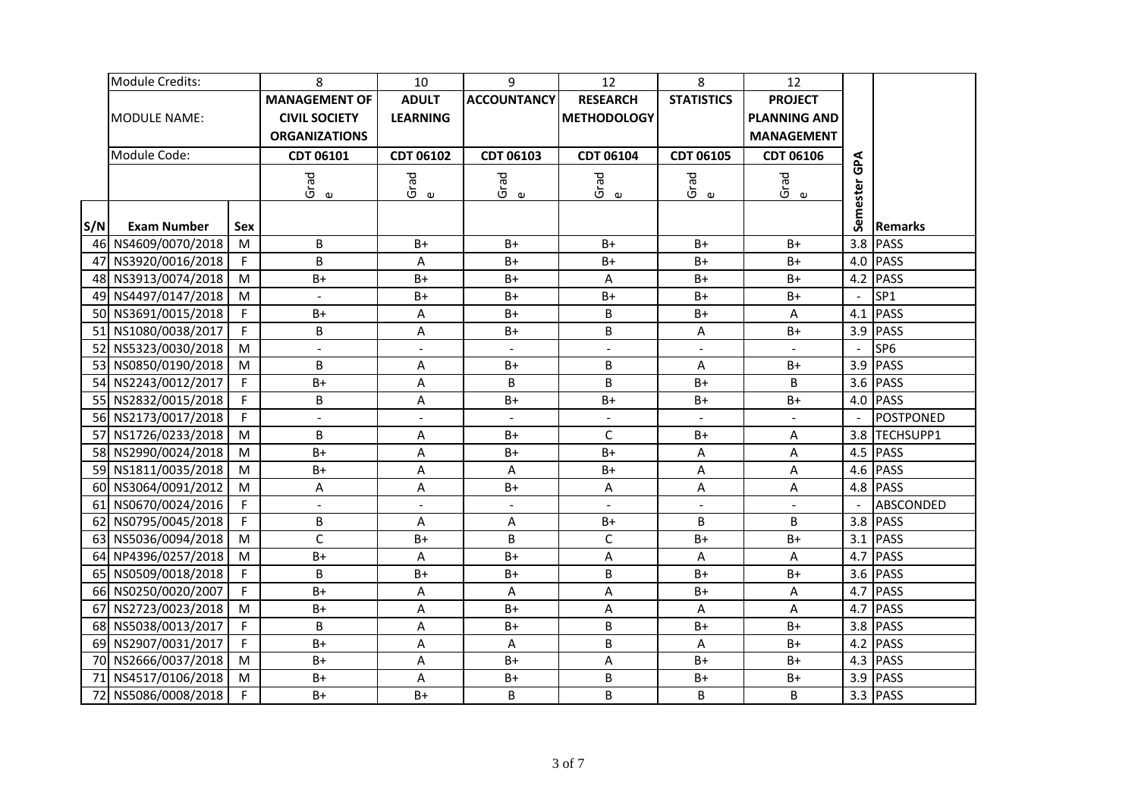|     | Module Credits:     |     | 8                                            | 10                       | 9                        | 12                       | 8                        | 12                                       |            |                 |
|-----|---------------------|-----|----------------------------------------------|--------------------------|--------------------------|--------------------------|--------------------------|------------------------------------------|------------|-----------------|
|     |                     |     | <b>MANAGEMENT OF</b>                         | <b>ADULT</b>             | <b>ACCOUNTANCY</b>       | <b>RESEARCH</b>          | <b>STATISTICS</b>        | <b>PROJECT</b>                           |            |                 |
|     | <b>MODULE NAME:</b> |     | <b>CIVIL SOCIETY</b><br><b>ORGANIZATIONS</b> | <b>LEARNING</b>          |                          | <b>METHODOLOGY</b>       |                          | <b>PLANNING AND</b><br><b>MANAGEMENT</b> |            |                 |
|     | Module Code:        |     |                                              |                          |                          |                          |                          |                                          |            |                 |
|     |                     |     | CDT 06101                                    | CDT 06102                | CDT 06103                | CDT 06104                | CDT 06105                | CDT 06106                                | <b>GPA</b> |                 |
|     |                     |     | Grad<br>$\pmb{\omega}$                       | Grad<br>$\mathbf \omega$ | Grad<br>$\mathbf \omega$ | Grad<br>e                | Grad<br>$\mathbf \omega$ | Grad<br>$\mathbbmss{D}$                  |            |                 |
| S/N | <b>Exam Number</b>  | Sex |                                              |                          |                          |                          |                          |                                          | Semester   | <b>Remarks</b>  |
|     | 46 NS4609/0070/2018 | M   | B                                            | $B+$                     | B+                       | $B+$                     | $B+$                     | $B+$                                     | 3.8        | <b>PASS</b>     |
|     | 47 NS3920/0016/2018 | F   | B                                            | Α                        | $B+$                     | $B+$                     | $B+$                     | $B+$                                     | 4.0        | <b>PASS</b>     |
|     | 48 NS3913/0074/2018 | M   | $B+$                                         | $B+$                     | $B+$                     | A                        | $B+$                     | $B+$                                     | 4.2        | <b>PASS</b>     |
|     | 49 NS4497/0147/2018 | M   | $\blacksquare$                               | $B+$                     | $B+$                     | $B+$                     | $B+$                     | $B+$                                     |            | SP <sub>1</sub> |
|     | 50 NS3691/0015/2018 | F   | $B+$                                         | $\sf A$                  | $B+$                     | B                        | $B+$                     | A                                        | 4.1        | <b>PASS</b>     |
|     | 51 NS1080/0038/2017 | F.  | B                                            | $\sf A$                  | $B+$                     | B                        | A                        | $B+$                                     | 3.9        | <b>PASS</b>     |
|     | 52 NS5323/0030/2018 | M   | $\overline{\phantom{a}}$                     | $\blacksquare$           |                          | ÷.                       | $\blacksquare$           | $\overline{a}$                           |            | SP <sub>6</sub> |
|     | 53 NS0850/0190/2018 | M   | B                                            | A                        | $B+$                     | B                        | A                        | $B+$                                     | 3.9        | <b>PASS</b>     |
|     | 54 NS2243/0012/2017 | F   | $B+$                                         | $\overline{A}$           | B                        | B                        | $B+$                     | B                                        | 3.6        | <b>PASS</b>     |
|     | 55 NS2832/0015/2018 | F.  | B                                            | A                        | $B+$                     | $B+$                     | $B+$                     | $B+$                                     |            | 4.0 PASS        |
|     | 56 NS2173/0017/2018 | F   | $\blacksquare$                               | $\blacksquare$           |                          | $\overline{\phantom{a}}$ |                          | $\frac{1}{2}$                            |            | POSTPONED       |
|     | 57 NS1726/0233/2018 | M   | B                                            | A                        | $B+$                     | $\mathsf{C}$             | $B+$                     | A                                        | 3.8        | TECHSUPP1       |
|     | 58 NS2990/0024/2018 | M   | $B+$                                         | $\sf A$                  | $B+$                     | $B+$                     | A                        | A                                        | 4.5        | <b>PASS</b>     |
|     | 59 NS1811/0035/2018 | M   | $B+$                                         | $\sf A$                  | A                        | $B+$                     | A                        | A                                        |            | 4.6 PASS        |
|     | 60 NS3064/0091/2012 | M   | A                                            | A                        | $B+$                     | A                        | A                        | A                                        |            | 4.8 PASS        |
| 61  | NS0670/0024/2016    | F   | $\overline{a}$                               | $\blacksquare$           |                          |                          |                          |                                          |            | ABSCONDED       |
| 62  | NS0795/0045/2018    | F   | $\sf B$                                      | A                        | Α                        | $B+$                     | B                        | B                                        | 3.8        | <b>PASS</b>     |
|     | 63 NS5036/0094/2018 | M   | $\mathsf{C}$                                 | $B+$                     | B                        | $\mathsf C$              | $B+$                     | $B+$                                     |            | 3.1 PASS        |
|     | 64 NP4396/0257/2018 | M   | $B+$                                         | A                        | $B+$                     | A                        | А                        | A                                        | 4.7        | <b>PASS</b>     |
|     | 65 NS0509/0018/2018 | F.  | B                                            | $B+$                     | $B+$                     | B                        | $B+$                     | $B+$                                     | 3.6        | <b>PASS</b>     |
|     | 66 NS0250/0020/2007 | F.  | $B+$                                         | A                        | A                        | A                        | $B+$                     | A                                        | 4.7        | <b>PASS</b>     |
| 67  | NS2723/0023/2018    | M   | $B+$                                         | A                        | $B+$                     | A                        | A                        | A                                        | 4.7        | <b>PASS</b>     |
|     | 68 NS5038/0013/2017 | F.  | B                                            | Α                        | $B+$                     | B                        | $B+$                     | $B+$                                     | 3.8        | <b>PASS</b>     |
|     | 69 NS2907/0031/2017 | F.  | $B+$                                         | $\sf A$                  | A                        | B                        | A                        | $B+$                                     | 4.2        | <b>PASS</b>     |
|     | 70 NS2666/0037/2018 | M   | $B+$                                         | $\sf A$                  | $B+$                     | A                        | $B+$                     | $B+$                                     | 4.3        | <b>PASS</b>     |
| 71  | NS4517/0106/2018    | M   | $B+$                                         | $\sf A$                  | $B+$                     | B                        | $B+$                     | $B+$                                     | 3.9        | <b>PASS</b>     |
| 72  | NS5086/0008/2018    | F   | $B+$                                         | $B+$                     | B                        | B                        | B                        | B                                        |            | $3.3$ PASS      |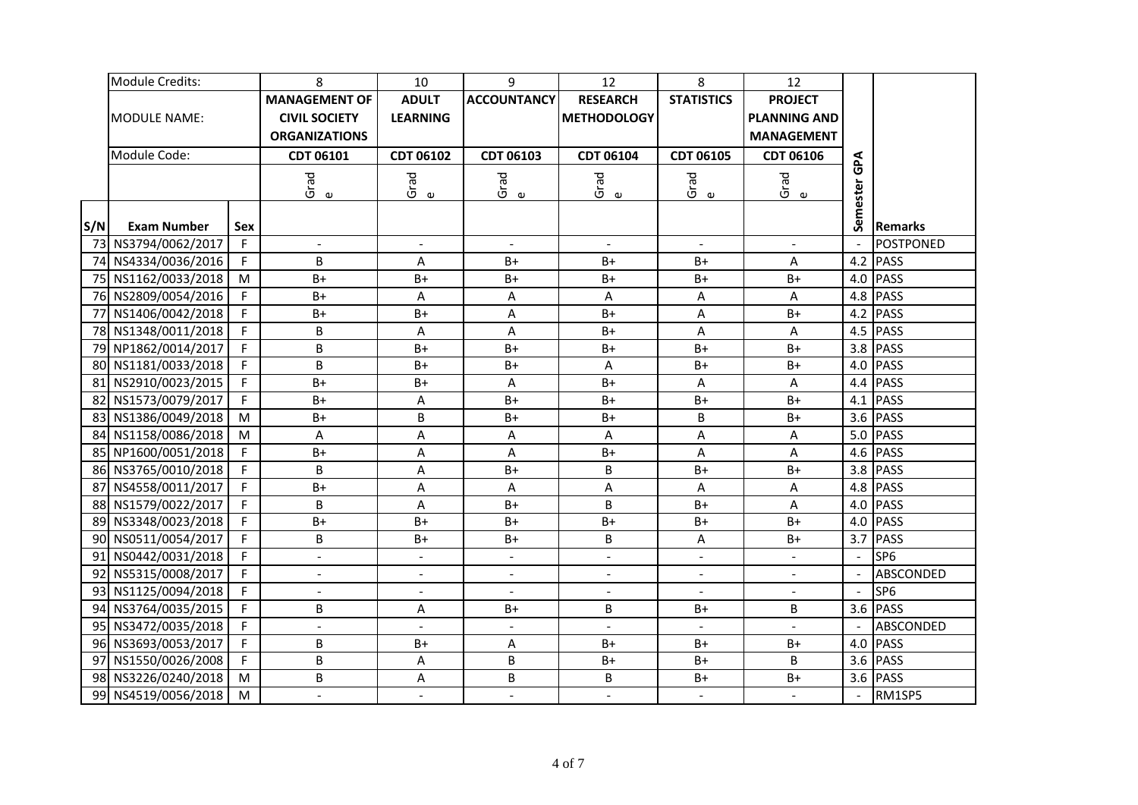|     | Module Credits:     |     | 8                                            | 10                       | 9                         | 12                       | 8                        | 12                                       |                |                  |
|-----|---------------------|-----|----------------------------------------------|--------------------------|---------------------------|--------------------------|--------------------------|------------------------------------------|----------------|------------------|
|     |                     |     | <b>MANAGEMENT OF</b>                         | <b>ADULT</b>             | <b>ACCOUNTANCY</b>        | <b>RESEARCH</b>          | <b>STATISTICS</b>        | <b>PROJECT</b>                           |                |                  |
|     | <b>MODULE NAME:</b> |     | <b>CIVIL SOCIETY</b><br><b>ORGANIZATIONS</b> | <b>LEARNING</b>          |                           | <b>METHODOLOGY</b>       |                          | <b>PLANNING AND</b><br><b>MANAGEMENT</b> |                |                  |
|     | Module Code:        |     |                                              |                          |                           |                          |                          |                                          |                |                  |
|     |                     |     | CDT 06101                                    | CDT 06102                | CDT 06103                 | CDT 06104                | CDT 06105                | CDT 06106                                | ĞΡ             |                  |
|     |                     |     | Grad<br>$\pmb{\omega}$                       | Grad<br>$\pmb{\upsilon}$ | Grad<br>$\mathbf \omega$  | Grad<br>e                | Grad<br>$\mathbf \omega$ | Grad<br>$\mathbf \omega$                 |                |                  |
| S/N | <b>Exam Number</b>  | Sex |                                              |                          |                           |                          |                          |                                          | Semester       | <b>Remarks</b>   |
|     | 73 NS3794/0062/2017 | F   | $\blacksquare$                               | $\blacksquare$           | $\blacksquare$            | $\blacksquare$           | $\blacksquare$           | $\blacksquare$                           |                | <b>POSTPONED</b> |
|     | 74 NS4334/0036/2016 | F.  | B                                            | A                        | $B+$                      | $B+$                     | $B+$                     | A                                        | 4.2            | <b>PASS</b>      |
|     | 75 NS1162/0033/2018 | M   | $B+$                                         | $B+$                     | $B+$                      | $B+$                     | $B+$                     | $B+$                                     | 4.0            | <b>PASS</b>      |
|     | 76 NS2809/0054/2016 | F.  | $B+$                                         | $\sf A$                  | A                         | A                        | A                        | A                                        | 4.8            | <b>PASS</b>      |
|     | 77 NS1406/0042/2018 | F   | $B+$                                         | $B+$                     | A                         | $B+$                     | A                        | $B+$                                     | 4.2            | <b>PASS</b>      |
|     | 78 NS1348/0011/2018 | F   | B                                            | A                        | $\overline{A}$            | $B+$                     | A                        | A                                        |                | 4.5 PASS         |
|     | 79 NP1862/0014/2017 | F   | B                                            | $B+$                     | $B+$                      | B+                       | $B+$                     | $B+$                                     |                | 3.8 PASS         |
|     | 80 NS1181/0033/2018 | F   | B                                            | $B+$                     | $B+$                      | A                        | $B+$                     | $B+$                                     | 4.0            | <b>PASS</b>      |
|     | 81 NS2910/0023/2015 | F   | $B+$                                         | $B+$                     | A                         | $B+$                     | A                        | A                                        |                | 4.4 PASS         |
|     | 82 NS1573/0079/2017 | F   | $B+$                                         | A                        | $B+$                      | $B+$                     | $B+$                     | $B+$                                     |                | 4.1 PASS         |
|     | 83 NS1386/0049/2018 | M   | $B+$                                         | B                        | $B+$                      | $B+$                     | B                        | $B+$                                     |                | 3.6 PASS         |
|     | 84 NS1158/0086/2018 | M   | A                                            | A                        | A                         | A                        | A                        | A                                        | 5.0            | <b>PASS</b>      |
|     | 85 NP1600/0051/2018 | F   | $B+$                                         | $\overline{A}$           | $\boldsymbol{\mathsf{A}}$ | $B+$                     | A                        | A                                        |                | 4.6 PASS         |
|     | 86 NS3765/0010/2018 | F.  | B                                            | A                        | $B+$                      | B                        | $B+$                     | $B+$                                     |                | 3.8 PASS         |
|     | 87 NS4558/0011/2017 | F   | $B+$                                         | $\sf A$                  | A                         | A                        | A                        | A                                        |                | 4.8 PASS         |
|     | 88 NS1579/0022/2017 | F   | B                                            | $\sf A$                  | $B+$                      | B                        | $B+$                     | A                                        |                | 4.0 PASS         |
|     | 89 NS3348/0023/2018 | F   | $B+$                                         | $B+$                     | $B+$                      | $B+$                     | $B+$                     | $B+$                                     | 4.0            | <b>PASS</b>      |
|     | 90 NS0511/0054/2017 | F   | B                                            | $B+$                     | $B+$                      | B                        | A                        | $B+$                                     |                | 3.7 PASS         |
| 91  | NS0442/0031/2018    | F   | $\blacksquare$                               | $\blacksquare$           | $\blacksquare$            | $\blacksquare$           | $\blacksquare$           | $\blacksquare$                           | $\blacksquare$ | SP <sub>6</sub>  |
| 92  | NS5315/0008/2017    | F.  | $\overline{a}$                               | $\overline{\phantom{a}}$ |                           | $\overline{\phantom{a}}$ | $\overline{a}$           | $\frac{1}{2}$                            |                | ABSCONDED        |
|     | 93 NS1125/0094/2018 | F.  | $\blacksquare$                               | $\overline{\phantom{a}}$ | $\blacksquare$            | $\blacksquare$           | $\blacksquare$           | $\overline{\phantom{a}}$                 |                | SP <sub>6</sub>  |
|     | 94 NS3764/0035/2015 | F.  | B                                            | A                        | $B+$                      | B                        | $B+$                     | B                                        | 3.6            | <b>PASS</b>      |
|     | 95 NS3472/0035/2018 | F.  | $\overline{\phantom{a}}$                     | $\blacksquare$           | $\blacksquare$            | $\blacksquare$           |                          |                                          |                | ABSCONDED        |
|     | 96 NS3693/0053/2017 | F.  | B                                            | $B+$                     | A                         | $B+$                     | $B+$                     | $B+$                                     | 4.0            | <b>PASS</b>      |
| 97  | NS1550/0026/2008    | F.  | B                                            | A                        | B                         | $B+$                     | $B+$                     | B                                        | 3.6            | <b>PASS</b>      |
|     | 98 NS3226/0240/2018 | M   | B                                            | $\sf A$                  | B                         | B                        | $B+$                     | $B+$                                     | 3.6            | <b>PASS</b>      |
|     | 99 NS4519/0056/2018 | M   | $\overline{\phantom{0}}$                     | $\Box$                   | $\equiv$                  | $\blacksquare$           | $\overline{\phantom{a}}$ | $\overline{a}$                           |                | RM1SP5           |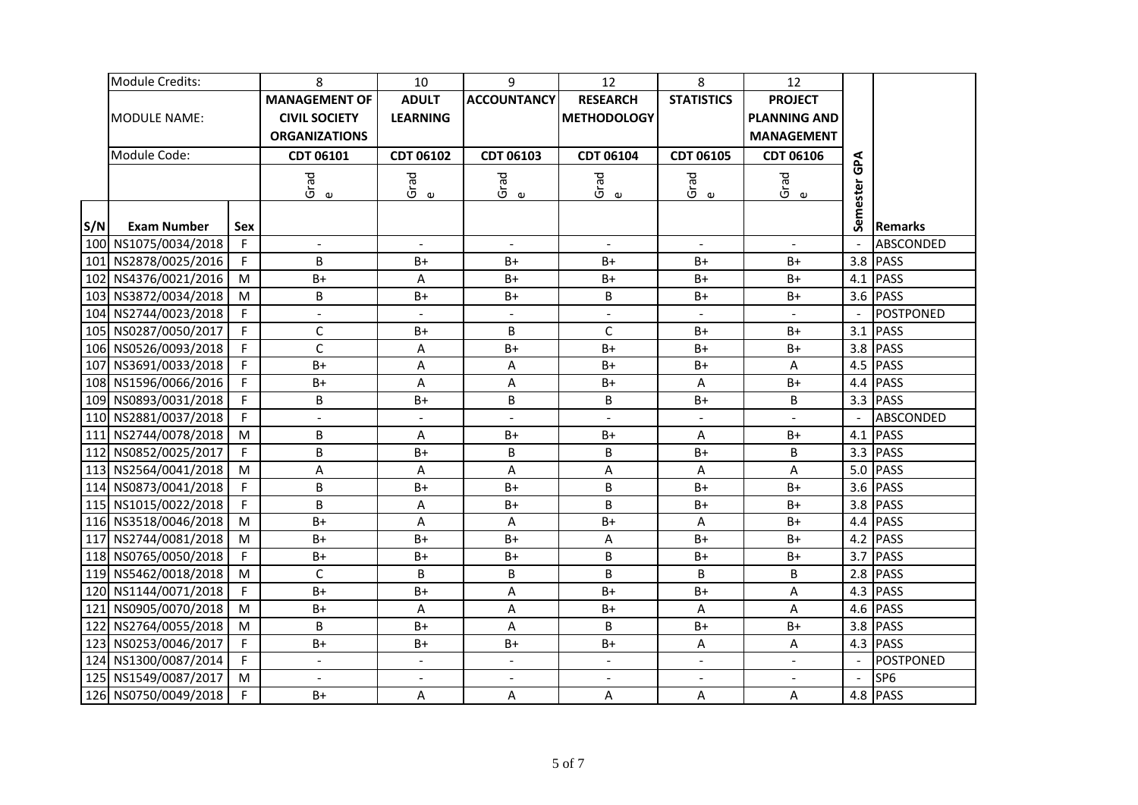|     | Module Credits:      |     | 8                                            | 10                       | 9                        | 12                 | 8                        | 12                                       |          |                  |
|-----|----------------------|-----|----------------------------------------------|--------------------------|--------------------------|--------------------|--------------------------|------------------------------------------|----------|------------------|
|     |                      |     | <b>MANAGEMENT OF</b>                         | <b>ADULT</b>             | <b>ACCOUNTANCY</b>       | <b>RESEARCH</b>    | <b>STATISTICS</b>        | <b>PROJECT</b>                           |          |                  |
|     | IMODULE NAME:        |     | <b>CIVIL SOCIETY</b><br><b>ORGANIZATIONS</b> | <b>LEARNING</b>          |                          | <b>METHODOLOGY</b> |                          | <b>PLANNING AND</b><br><b>MANAGEMENT</b> |          |                  |
|     | Module Code:         |     | CDT 06101                                    | CDT 06102                | CDT 06103                | CDT 06104          | CDT 06105                | CDT 06106                                |          |                  |
|     |                      |     |                                              |                          |                          |                    |                          |                                          | ፈ<br>መ   |                  |
|     |                      |     | Grad<br>$\pmb{\omega}$                       | Grad<br>$\mathbf \omega$ | Grad<br>$\mathbf \omega$ | Grad<br>e          | Grad<br>$\mathbf \omega$ | Grad<br>$\mathbbmss{D}$                  | Semester |                  |
|     |                      |     |                                              |                          |                          |                    |                          |                                          |          |                  |
| S/N | <b>Exam Number</b>   | Sex |                                              |                          |                          |                    |                          |                                          |          | <b>Remarks</b>   |
|     | 100 NS1075/0034/2018 | F   | $\blacksquare$                               | $\blacksquare$           | $\blacksquare$           | $\blacksquare$     | $\blacksquare$           | $\blacksquare$                           |          | ABSCONDED        |
|     | 101 NS2878/0025/2016 | F.  | B                                            | B+                       | $B+$                     | $B+$               | B+                       | $B+$                                     | 3.8      | <b>PASS</b>      |
|     | 102 NS4376/0021/2016 | M   | $B+$                                         | $\sf A$                  | $B+$                     | $B+$               | $B+$                     | $B+$                                     | 4.1      | <b>PASS</b>      |
|     | 103 NS3872/0034/2018 | M   | B                                            | $B+$                     | $B+$                     | B                  | $B+$                     | $B+$                                     |          | 3.6 PASS         |
|     | 104 NS2744/0023/2018 | F   | $\overline{a}$                               | $\overline{\phantom{a}}$ | $\overline{a}$           | ÷.                 |                          | $\mathbb{Z}^2$                           |          | <b>POSTPONED</b> |
|     | 105 NS0287/0050/2017 | F.  | $\mathsf{C}$                                 | B+                       | B                        | $\mathsf{C}$       | $B+$                     | B+                                       | 3.1      | <b>PASS</b>      |
|     | 106 NS0526/0093/2018 | F   | $\mathsf{C}$                                 | A                        | $B+$                     | B+                 | B+                       | $B+$                                     | 3.8      | <b>PASS</b>      |
|     | 107 NS3691/0033/2018 | F.  | $B+$                                         | A                        | A                        | $B+$               | $B+$                     | A                                        |          | 4.5 PASS         |
|     | 108 NS1596/0066/2016 | F   | $B+$                                         | $\overline{A}$           | Α                        | $B+$               | A                        | $B+$                                     |          | 4.4 PASS         |
|     | 109 NS0893/0031/2018 | F   | B                                            | B+                       | B                        | B                  | B+                       | B                                        |          | 3.3 PASS         |
|     | 110 NS2881/0037/2018 | F   | $\blacksquare$                               | $\blacksquare$           | $\blacksquare$           | $\overline{a}$     | $\overline{\phantom{a}}$ | $\overline{a}$                           |          | ABSCONDED        |
|     | 111 NS2744/0078/2018 | M   | B                                            | Α                        | $B+$                     | $B+$               | Α                        | $B+$                                     |          | $4.1$ PASS       |
|     | 112 NS0852/0025/2017 | F   | B                                            | $B+$                     | B                        | B                  | $B+$                     | B                                        |          | 3.3 PASS         |
|     | 113 NS2564/0041/2018 | M   | A                                            | $\sf A$                  | A                        | A                  | A                        | A                                        |          | 5.0 PASS         |
|     | 114 NS0873/0041/2018 | F   | B                                            | $B+$                     | $B+$                     | B                  | $B+$                     | $B+$                                     |          | 3.6 PASS         |
|     | 115 NS1015/0022/2018 | F   | B                                            | A                        | B+                       | B                  | $B+$                     | $B+$                                     |          | 3.8 PASS         |
|     | 116 NS3518/0046/2018 | M   | $B+$                                         | $\overline{A}$           | Α                        | $B+$               | A                        | $B+$                                     |          | 4.4 PASS         |
| 117 | NS2744/0081/2018     | M   | $B+$                                         | $B+$                     | B+                       | А                  | $B+$                     | $B+$                                     |          | 4.2 PASS         |
|     | 118 NS0765/0050/2018 | F   | $B+$                                         | $B+$                     | $B+$                     | B                  | $B+$                     | $B+$                                     |          | 3.7 PASS         |
|     | 119 NS5462/0018/2018 | M   | $\mathsf C$                                  | B                        | B                        | B                  | B                        | B                                        | 2.8      | <b>PASS</b>      |
|     | 120 NS1144/0071/2018 | F.  | $B+$                                         | $B+$                     | Α                        | $B+$               | $B+$                     | A                                        | 4.3      | <b>PASS</b>      |
| 121 | NS0905/0070/2018     | M   | $B+$                                         | A                        | A                        | $B+$               | A                        | A                                        | 4.6      | <b>PASS</b>      |
|     | 122 NS2764/0055/2018 | M   | B                                            | $B+$                     | Α                        | B                  | $B+$                     | $B+$                                     | 3.8      | <b>PASS</b>      |
| 123 | NS0253/0046/2017     | F.  | $B+$                                         | B+                       | $B+$                     | $B+$               | A                        | A                                        | 4.3      | <b>PASS</b>      |
|     | 124 NS1300/0087/2014 | F   | $\overline{a}$                               | $\Box$                   | $\blacksquare$           | $\blacksquare$     | $\overline{a}$           | $\overline{a}$                           |          | POSTPONED        |
|     | 125 NS1549/0087/2017 | M   | $\mathbf{r}$                                 | $\blacksquare$           | $\blacksquare$           | $\blacksquare$     | $\overline{\phantom{a}}$ | $\overline{a}$                           |          | SP <sub>6</sub>  |
|     | 126 NS0750/0049/2018 | F   | $B+$                                         | Α                        | А                        | Α                  | A                        | A                                        |          | 4.8 PASS         |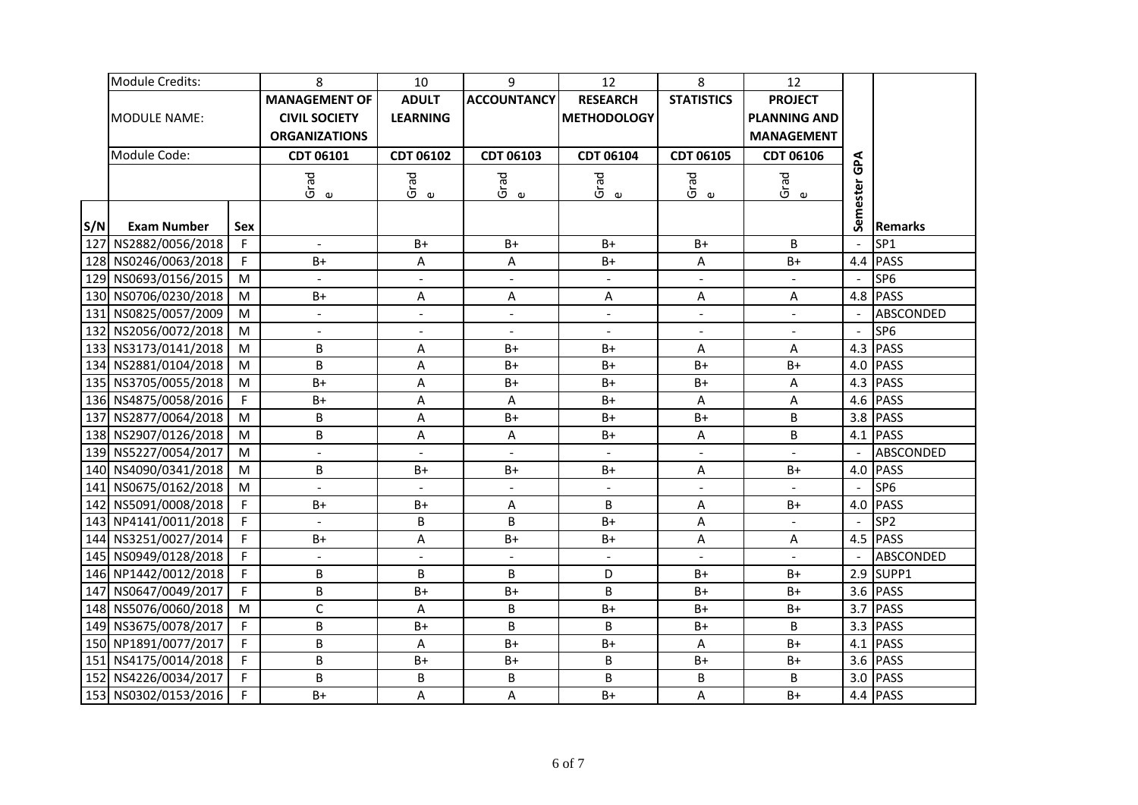|     | Module Credits:      |     | 8                                            | 10                      | 9                        | 12                 | 8                       | 12                                       |          |                  |
|-----|----------------------|-----|----------------------------------------------|-------------------------|--------------------------|--------------------|-------------------------|------------------------------------------|----------|------------------|
|     |                      |     | <b>MANAGEMENT OF</b>                         | <b>ADULT</b>            | <b>ACCOUNTANCY</b>       | <b>RESEARCH</b>    | <b>STATISTICS</b>       | <b>PROJECT</b>                           |          |                  |
|     | IMODULE NAME:        |     | <b>CIVIL SOCIETY</b><br><b>ORGANIZATIONS</b> | <b>LEARNING</b>         |                          | <b>METHODOLOGY</b> |                         | <b>PLANNING AND</b><br><b>MANAGEMENT</b> |          |                  |
|     | Module Code:         |     | CDT 06101                                    | CDT 06102               | CDT 06103                | CDT 06104          | CDT 06105               | CDT 06106                                |          |                  |
|     |                      |     |                                              |                         |                          |                    |                         |                                          | ፈ<br>መ   |                  |
|     |                      |     | Grad<br>$\pmb{\omega}$                       | Grad<br>$\mathbbmss{D}$ | Grad<br>$\mathbf \omega$ | Grad<br>e          | Grad<br>$\mathbbmss{D}$ | Grad<br>$\pmb{\upsilon}$                 | Semester |                  |
|     |                      |     |                                              |                         |                          |                    |                         |                                          |          |                  |
| S/N | <b>Exam Number</b>   | Sex |                                              |                         |                          |                    |                         |                                          |          | <b>Remarks</b>   |
|     | 127 NS2882/0056/2018 | F   | $\blacksquare$                               | $B+$                    | B+                       | $B+$               | $B+$                    | B                                        |          | SP <sub>1</sub>  |
|     | 128 NS0246/0063/2018 | F.  | $B+$                                         | Α                       | Α                        | B+                 | А                       | $B+$                                     | 4.4      | <b>PASS</b>      |
|     | 129 NS0693/0156/2015 | M   | $\overline{a}$                               | $\blacksquare$          | $\blacksquare$           | $\blacksquare$     | $\overline{a}$          | $\overline{a}$                           |          | SP <sub>6</sub>  |
|     | 130 NS0706/0230/2018 | M   | $B+$                                         | А                       | A                        | A                  | A                       | A                                        |          | 4.8 PASS         |
|     | 131 NS0825/0057/2009 | M   | $\overline{a}$                               | $\blacksquare$          | $\blacksquare$           | $\blacksquare$     | $\blacksquare$          | $\overline{a}$                           |          | <b>ABSCONDED</b> |
|     | 132 NS2056/0072/2018 | M   | $\overline{a}$                               | $\blacksquare$          |                          | $\blacksquare$     | $\blacksquare$          | $\blacksquare$                           | $\sim$   | SP <sub>6</sub>  |
|     | 133 NS3173/0141/2018 | M   | B                                            | A                       | $B+$                     | $B+$               | A                       | A                                        | 4.3      | <b>PASS</b>      |
|     | 134 NS2881/0104/2018 | M   | B                                            | A                       | B+                       | B+                 | $B+$                    | $B+$                                     | 4.0      | <b>PASS</b>      |
|     | 135 NS3705/0055/2018 | M   | $B+$                                         | $\overline{A}$          | $B+$                     | $B+$               | B+                      | A                                        |          | $4.3$ PASS       |
|     | 136 NS4875/0058/2016 | F   | $B+$                                         | A                       | A                        | $B+$               | A                       | A                                        |          | 4.6 PASS         |
|     | 137 NS2877/0064/2018 | M   | B                                            | A                       | $B+$                     | $B+$               | $B+$                    | B                                        |          | 3.8 PASS         |
|     | 138 NS2907/0126/2018 | M   | B                                            | A                       | A                        | $B+$               | A                       | B                                        |          | 4.1 PASS         |
|     | 139 NS5227/0054/2017 | M   | $\overline{a}$                               | $\blacksquare$          |                          |                    |                         |                                          |          | ABSCONDED        |
|     | 140 NS4090/0341/2018 | M   | B                                            | $B+$                    | $B+$                     | $B+$               | A                       | $B+$                                     | 4.0      | PASS             |
|     | 141 NS0675/0162/2018 | M   |                                              | $\blacksquare$          |                          | $\blacksquare$     |                         |                                          |          | SP <sub>6</sub>  |
|     | 142 NS5091/0008/2018 | F.  | $B+$                                         | $B+$                    | A                        | B                  | Α                       | $B+$                                     | 4.0      | <b>PASS</b>      |
|     | 143 NP4141/0011/2018 | F   |                                              | B                       | B                        | $B+$               | A                       |                                          |          | SP <sub>2</sub>  |
|     | 144 NS3251/0027/2014 | F.  | $B+$                                         | A                       | B+                       | $B+$               | А                       | A                                        |          | 4.5 PASS         |
|     | 145 NS0949/0128/2018 | F   | $\blacksquare$                               | $\omega$                |                          | $\blacksquare$     | $\blacksquare$          |                                          |          | ABSCONDED        |
|     | 146 NP1442/0012/2018 | F   | $\sf B$                                      | B                       | B                        | D                  | $B+$                    | $B+$                                     | 2.9      | SUPP1            |
|     | 147 NS0647/0049/2017 | F.  | $\sf B$                                      | $B+$                    | $B+$                     | B                  | $B+$                    | $B+$                                     | 3.6      | <b>PASS</b>      |
|     | 148 NS5076/0060/2018 | M   | $\mathsf{C}$                                 | A                       | B                        | $B+$               | $B+$                    | $B+$                                     | 3.7      | <b>PASS</b>      |
|     | 149 NS3675/0078/2017 | F.  | B                                            | $B+$                    | B                        | B                  | B+                      | B                                        | 3.3      | <b>PASS</b>      |
|     | 150 NP1891/0077/2017 | F.  | B                                            | Α                       | $B+$                     | $B+$               | Α                       | $B+$                                     | 4.1      | <b>PASS</b>      |
|     | 151 NS4175/0014/2018 | F.  | B                                            | $B+$                    | $B+$                     | B                  | $B+$                    | $B+$                                     | 3.6      | <b>PASS</b>      |
|     | 152 NS4226/0034/2017 | F.  | B                                            | B                       | B                        | B                  | B                       | B                                        | 3.0      | <b>PASS</b>      |
|     | 153 NS0302/0153/2016 | F   | $B+$                                         | $\sf A$                 | A                        | B+                 | A                       | $B+$                                     |          | 4.4 PASS         |